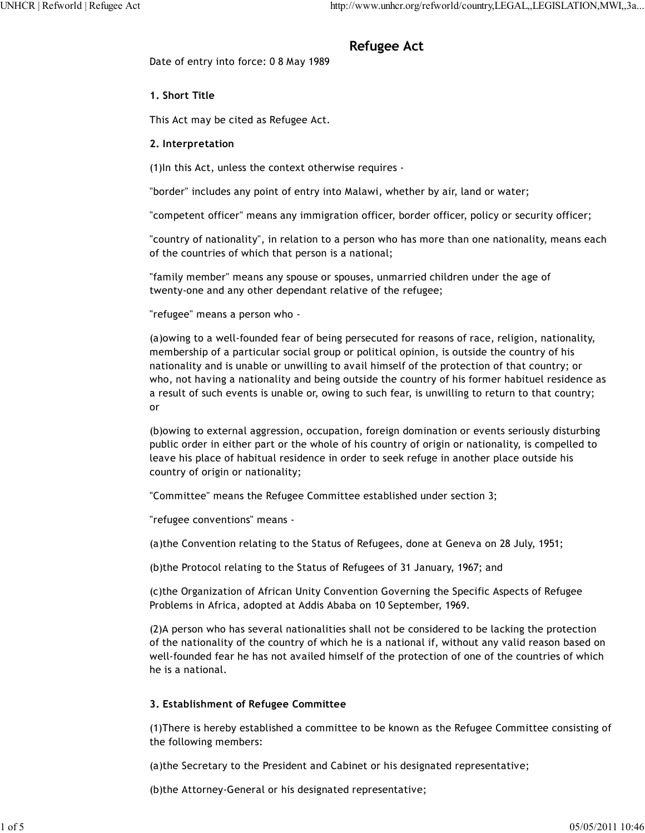# **Refugee Act**

Date of entry into force: 0 8 May 1989

## **1. Short Title**

This Act may be cited as Refugee Act.

## **2. Interpretation**

(1)In this Act, unless the context otherwise requires -

"border" includes any point of entry into Malawi, whether by air, land or water;

"competent officer" means any immigration officer, border officer, policy or security officer;

"country of nationality", in relation to a person who has more than one nationality, means each of the countries of which that person is a national;

"family member" means any spouse or spouses, unmarried children under the age of twenty-one and any other dependant relative of the refugee;

"refugee" means a person who -

(a)owing to a well-founded fear of being persecuted for reasons of race, religion, nationality, membership of a particular social group or political opinion, is outside the country of his nationality and is unable or unwilling to avail himself of the protection of that country; or who, not having a nationality and being outside the country of his former habituel residence as a result of such events is unable or, owing to such fear, is unwilling to return to that country; or

(b)owing to external aggression, occupation, foreign domination or events seriously disturbing public order in either part or the whole of his country of origin or nationality, is compelled to leave his place of habitual residence in order to seek refuge in another place outside his country of origin or nationality;

"Committee" means the Refugee Committee established under section 3;

"refugee conventions" means -

(a)the Convention relating to the Status of Refugees, done at Geneva on 28 July, 1951;

(b)the Protocol relating to the Status of Refugees of 31 January, 1967; and

(c)the Organization of African Unity Convention Governing the Specific Aspects of Refugee Problems in Africa, adopted at Addis Ababa on 10 September, 1969.

(2)A person who has several nationalities shall not be considered to be lacking the protection of the nationality of the country of which he is a national if, without any valid reason based on well-founded fear he has not availed himself of the protection of one of the countries of which he is a national.

## **3. Establishment of Refugee Committee**

(1)There is hereby established a committee to be known as the Refugee Committee consisting of the following members:

(a)the Secretary to the President and Cabinet or his designated representative;

(b)the Attorney-General or his designated representative;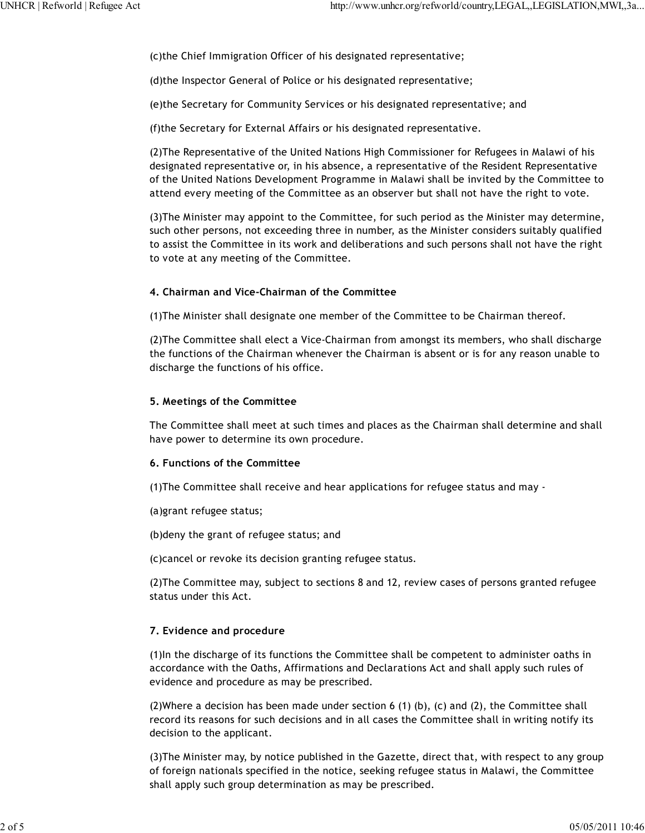(c)the Chief Immigration Officer of his designated representative;

(d)the Inspector General of Police or his designated representative;

(e)the Secretary for Community Services or his designated representative; and

(f)the Secretary for External Affairs or his designated representative.

(2)The Representative of the United Nations High Commissioner for Refugees in Malawi of his designated representative or, in his absence, a representative of the Resident Representative of the United Nations Development Programme in Malawi shall be invited by the Committee to attend every meeting of the Committee as an observer but shall not have the right to vote.

(3)The Minister may appoint to the Committee, for such period as the Minister may determine, such other persons, not exceeding three in number, as the Minister considers suitably qualified to assist the Committee in its work and deliberations and such persons shall not have the right to vote at any meeting of the Committee.

#### **4. Chairman and Vice-Chairman of the Committee**

(1)The Minister shall designate one member of the Committee to be Chairman thereof.

(2)The Committee shall elect a Vice-Chairman from amongst its members, who shall discharge the functions of the Chairman whenever the Chairman is absent or is for any reason unable to discharge the functions of his office.

#### **5. Meetings of the Committee**

The Committee shall meet at such times and places as the Chairman shall determine and shall have power to determine its own procedure.

#### **6. Functions of the Committee**

(1)The Committee shall receive and hear applications for refugee status and may -

(a)grant refugee status;

(b)deny the grant of refugee status; and

(c)cancel or revoke its decision granting refugee status.

(2)The Committee may, subject to sections 8 and 12, review cases of persons granted refugee status under this Act.

#### **7. Evidence and procedure**

(1)In the discharge of its functions the Committee shall be competent to administer oaths in accordance with the Oaths, Affirmations and Declarations Act and shall apply such rules of evidence and procedure as may be prescribed.

(2)Where a decision has been made under section 6 (1) (b), (c) and (2), the Committee shall record its reasons for such decisions and in all cases the Committee shall in writing notify its decision to the applicant.

(3)The Minister may, by notice published in the Gazette, direct that, with respect to any group of foreign nationals specified in the notice, seeking refugee status in Malawi, the Committee shall apply such group determination as may be prescribed.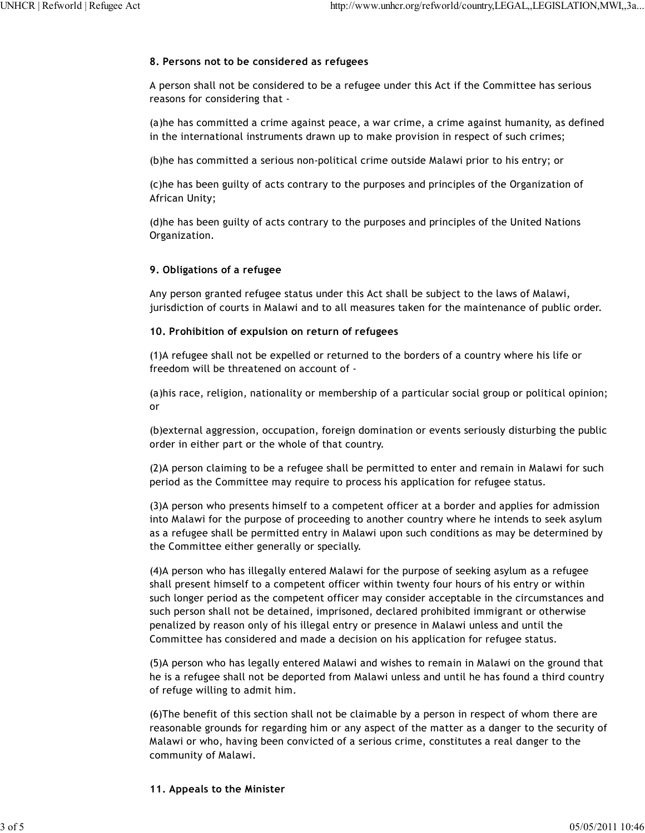## **8. Persons not to be considered as refugees**

A person shall not be considered to be a refugee under this Act if the Committee has serious reasons for considering that -

(a)he has committed a crime against peace, a war crime, a crime against humanity, as defined in the international instruments drawn up to make provision in respect of such crimes;

(b)he has committed a serious non-political crime outside Malawi prior to his entry; or

(c)he has been guilty of acts contrary to the purposes and principles of the Organization of African Unity;

(d)he has been guilty of acts contrary to the purposes and principles of the United Nations Organization.

## **9. Obligations of a refugee**

Any person granted refugee status under this Act shall be subject to the laws of Malawi, jurisdiction of courts in Malawi and to all measures taken for the maintenance of public order.

## **10. Prohibition of expulsion on return of refugees**

(1)A refugee shall not be expelled or returned to the borders of a country where his life or freedom will be threatened on account of -

(a)his race, religion, nationality or membership of a particular social group or political opinion; or

(b)external aggression, occupation, foreign domination or events seriously disturbing the public order in either part or the whole of that country.

(2)A person claiming to be a refugee shall be permitted to enter and remain in Malawi for such period as the Committee may require to process his application for refugee status.

(3)A person who presents himself to a competent officer at a border and applies for admission into Malawi for the purpose of proceeding to another country where he intends to seek asylum as a refugee shall be permitted entry in Malawi upon such conditions as may be determined by the Committee either generally or specially.

(4)A person who has illegally entered Malawi for the purpose of seeking asylum as a refugee shall present himself to a competent officer within twenty four hours of his entry or within such longer period as the competent officer may consider acceptable in the circumstances and such person shall not be detained, imprisoned, declared prohibited immigrant or otherwise penalized by reason only of his illegal entry or presence in Malawi unless and until the Committee has considered and made a decision on his application for refugee status.

(5)A person who has legally entered Malawi and wishes to remain in Malawi on the ground that he is a refugee shall not be deported from Malawi unless and until he has found a third country of refuge willing to admit him.

(6)The benefit of this section shall not be claimable by a person in respect of whom there are reasonable grounds for regarding him or any aspect of the matter as a danger to the security of Malawi or who, having been convicted of a serious crime, constitutes a real danger to the community of Malawi.

#### **11. Appeals to the Minister**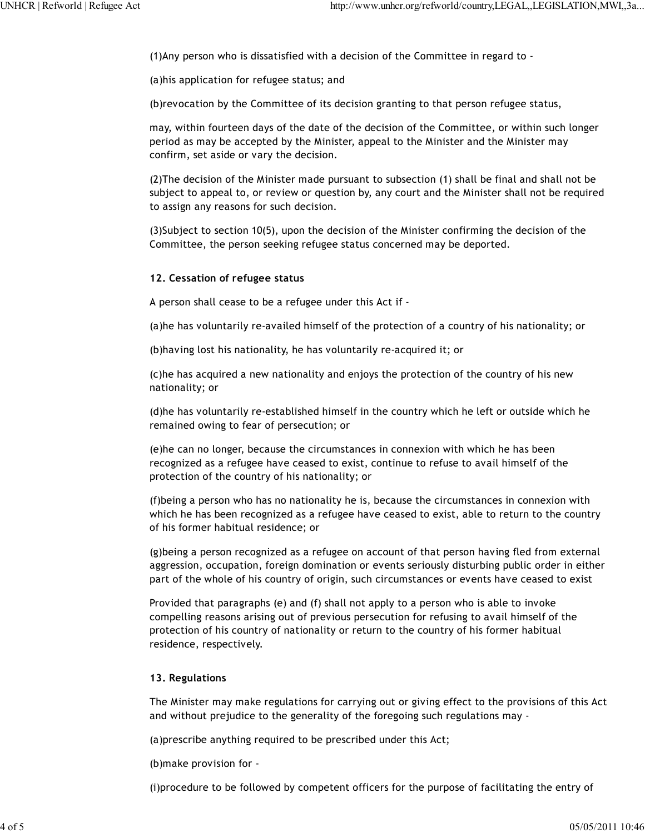(1)Any person who is dissatisfied with a decision of the Committee in regard to -

(a)his application for refugee status; and

(b)revocation by the Committee of its decision granting to that person refugee status,

may, within fourteen days of the date of the decision of the Committee, or within such longer period as may be accepted by the Minister, appeal to the Minister and the Minister may confirm, set aside or vary the decision.

(2)The decision of the Minister made pursuant to subsection (1) shall be final and shall not be subject to appeal to, or review or question by, any court and the Minister shall not be required to assign any reasons for such decision.

(3)Subject to section 10(5), upon the decision of the Minister confirming the decision of the Committee, the person seeking refugee status concerned may be deported.

## **12. Cessation of refugee status**

A person shall cease to be a refugee under this Act if -

(a)he has voluntarily re-availed himself of the protection of a country of his nationality; or

(b)having lost his nationality, he has voluntarily re-acquired it; or

(c)he has acquired a new nationality and enjoys the protection of the country of his new nationality; or

(d)he has voluntarily re-established himself in the country which he left or outside which he remained owing to fear of persecution; or

(e)he can no longer, because the circumstances in connexion with which he has been recognized as a refugee have ceased to exist, continue to refuse to avail himself of the protection of the country of his nationality; or

(f)being a person who has no nationality he is, because the circumstances in connexion with which he has been recognized as a refugee have ceased to exist, able to return to the country of his former habitual residence; or

(g)being a person recognized as a refugee on account of that person having fled from external aggression, occupation, foreign domination or events seriously disturbing public order in either part of the whole of his country of origin, such circumstances or events have ceased to exist

Provided that paragraphs (e) and (f) shall not apply to a person who is able to invoke compelling reasons arising out of previous persecution for refusing to avail himself of the protection of his country of nationality or return to the country of his former habitual residence, respectively.

## **13. Regulations**

The Minister may make regulations for carrying out or giving effect to the provisions of this Act and without prejudice to the generality of the foregoing such regulations may -

(a)prescribe anything required to be prescribed under this Act;

(b)make provision for -

(i)procedure to be followed by competent officers for the purpose of facilitating the entry of